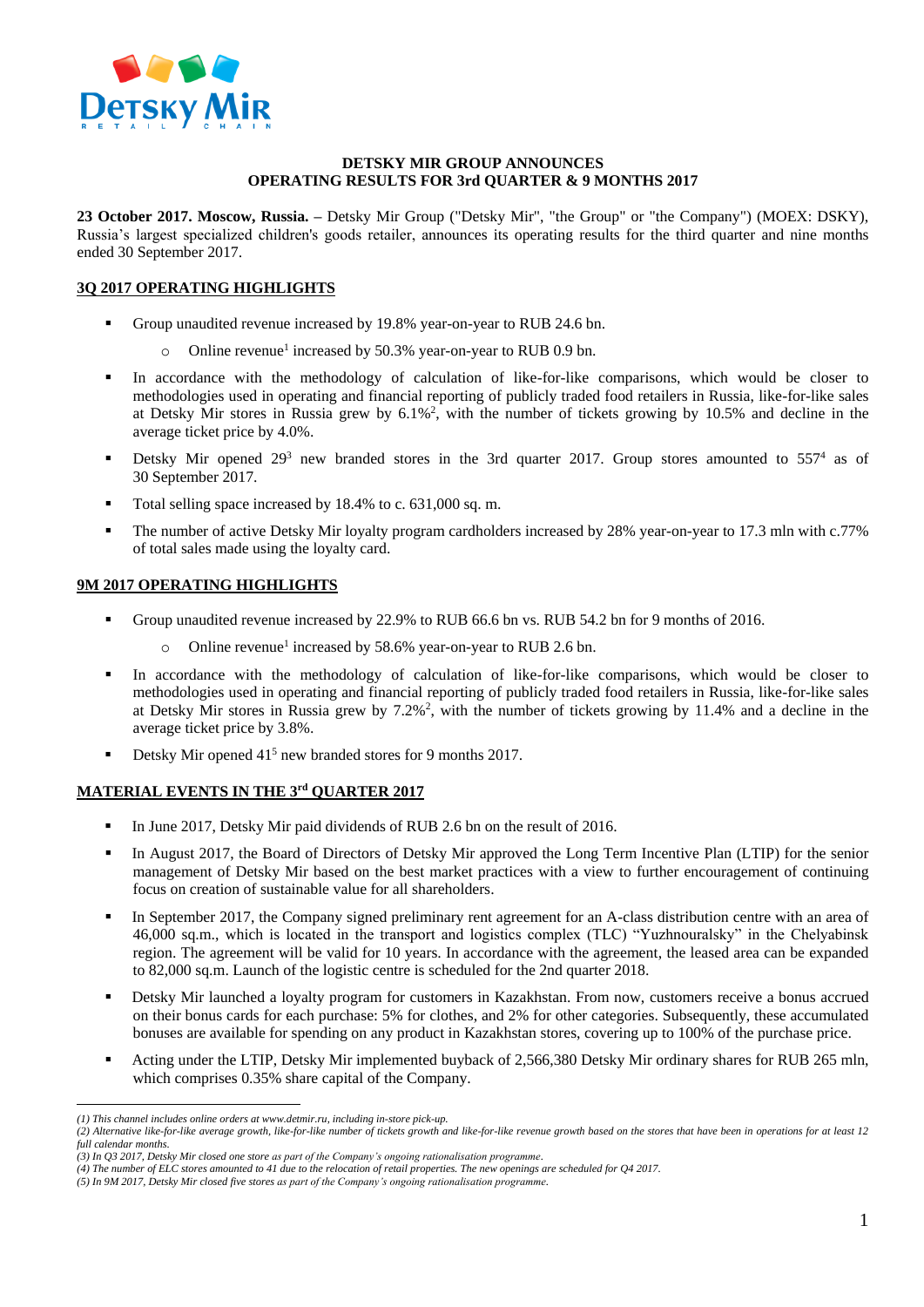

#### **DETSKY MIR GROUP ANNOUNCES OPERATING RESULTS FOR 3rd QUARTER & 9 MONTHS 2017**

**23 October 2017. Moscow, Russia. –** Detsky Mir Group ("Detsky Mir", "the Group" or "the Company") (MOEX: DSKY), Russia's largest specialized children's goods retailer, announces its operating results for the third quarter and nine months ended 30 September 2017.

# **3Q 2017 OPERATING HIGHLIGHTS**

- Group unaudited revenue increased by 19.8% year-on-year to RUB 24.6 bn.
	- o Online revenue<sup>1</sup> increased by 50.3% year-on-year to RUB 0.9 bn.
- In accordance with the methodology of calculation of like-for-like comparisons, which would be closer to methodologies used in operating and financial reporting of publicly traded food retailers in Russia, like-for-like sales at Detsky Mir stores in Russia grew by 6.1%<sup>2</sup> , with the number of tickets growing by 10.5% and decline in the average ticket price by 4.0%.
- Detsky Mir opened  $29<sup>3</sup>$  new branded stores in the 3rd quarter 2017. Group stores amounted to 557<sup>4</sup> as of 30 September 2017.
- Total selling space increased by 18.4% to c. 631,000 sq. m.
- The number of active Detsky Mir loyalty program cardholders increased by 28% year-on-year to 17.3 mln with c.77% of total sales made using the loyalty card.

## **9M 2017 OPERATING HIGHLIGHTS**

- Group unaudited revenue increased by 22.9% to RUB 66.6 bn vs. RUB 54.2 bn for 9 months of 2016.
	- o Online revenue<sup>1</sup> increased by 58.6% year-on-year to RUB 2.6 bn.
- In accordance with the methodology of calculation of like-for-like comparisons, which would be closer to methodologies used in operating and financial reporting of publicly traded food retailers in Russia, like-for-like sales at Detsky Mir stores in Russia grew by  $7.2\%$ <sup>2</sup>, with the number of tickets growing by 11.4% and a decline in the average ticket price by 3.8%.
- Detsky Mir opened 41<sup>5</sup> new branded stores for 9 months 2017.

## **MATERIAL EVENTS IN THE 3rd QUARTER 2017**

- In June 2017, Detsky Mir paid dividends of RUB 2.6 bn on the result of 2016.
- In August 2017, the Board of Directors of Detsky Mir approved the Long Term Incentive Plan (LTIP) for the senior management of Detsky Mir based on the best market practices with a view to further encouragement of continuing focus on creation of sustainable value for all shareholders.
- In September 2017, the Company signed preliminary rent agreement for an A-class distribution centre with an area of 46,000 sq.m., which is located in the transport and logistics complex (TLC) "Yuzhnouralsky" in the Chelyabinsk region. The agreement will be valid for 10 years. In accordance with the agreement, the leased area can be expanded to 82,000 sq.m. Launch of the logistic centre is scheduled for the 2nd quarter 2018.
- Detsky Mir launched a loyalty program for customers in Kazakhstan. From now, customers receive a bonus accrued on their bonus cards for each purchase: 5% for clothes, and 2% for other categories. Subsequently, these accumulated bonuses are available for spending on any product in Kazakhstan stores, covering up to 100% of the purchase price.
- Acting under the LTIP, Detsky Mir implemented buyback of 2,566,380 Detsky Mir ordinary shares for RUB 265 mln, which comprises 0.35% share capital of the Company.

 $\overline{a}$ 

*<sup>(1)</sup> This channel includes online orders at [www.detmir.ru,](http://www.detmir.ru/) including in-store pick-up.*

*<sup>(2)</sup> Alternative like-for-like average growth, like-for-like number of tickets growth and like-for-like revenue growth based on the stores that have been in operations for at least 12 full calendar months.*

*<sup>(3)</sup> In Q3 2017, Detsky Mir closed one store as part of the Company's ongoing rationalisation programme.* 

*<sup>(4)</sup> The number of ELC stores amounted to 41 due to the relocation of retail properties. The new openings are scheduled for Q4 2017.*

*<sup>(5)</sup> In 9M 2017, Detsky Mir closed five stores as part of the Company's ongoing rationalisation programme.*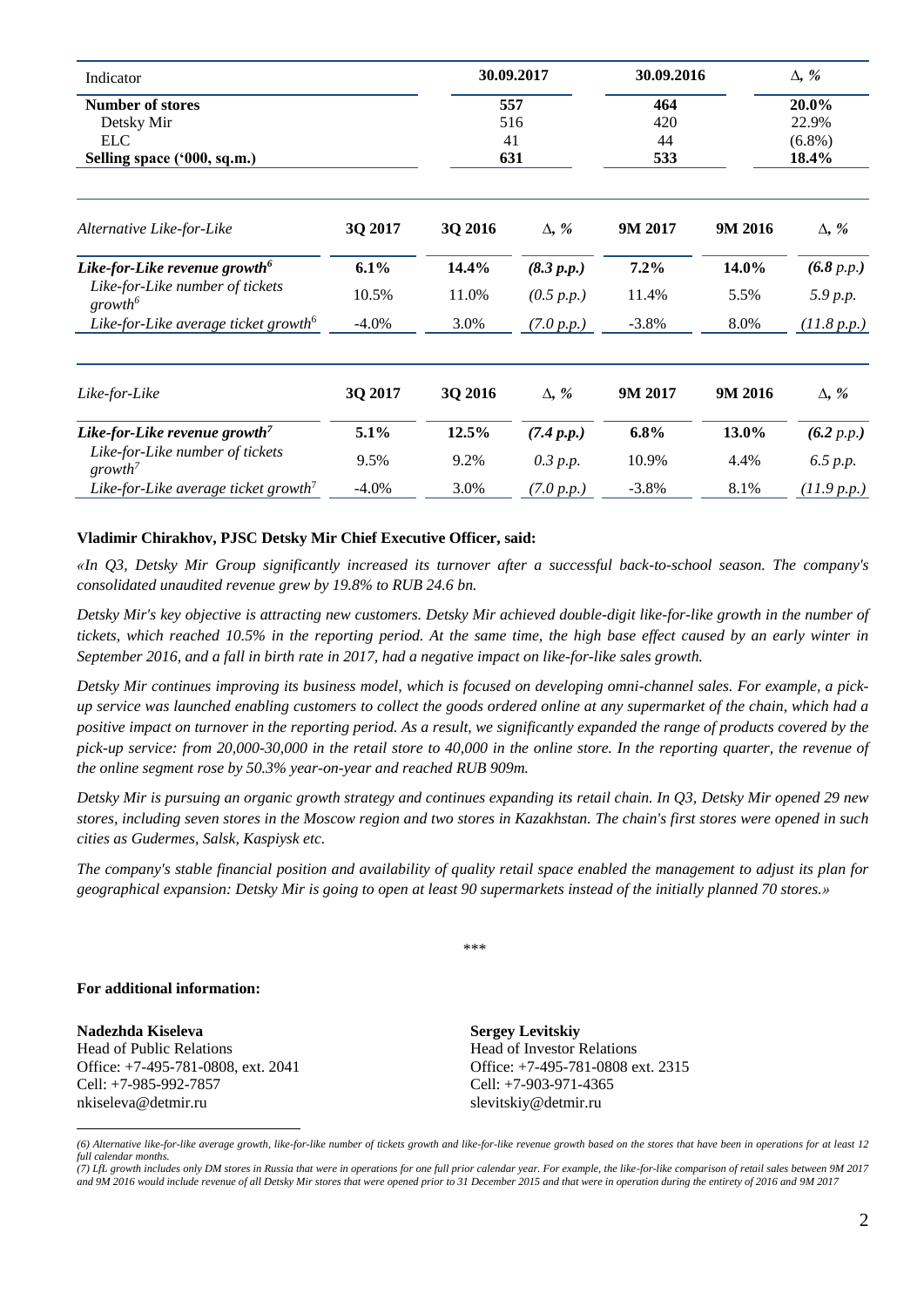| Indicator<br><b>Number of stores</b><br>Detsky Mir<br><b>ELC</b><br>Selling space ('000, sq.m.)     |               | 30.09.2017<br>557<br>516<br>41<br>631 |                          | 30.09.2016              |               | $\Delta$ , %                         |  |
|-----------------------------------------------------------------------------------------------------|---------------|---------------------------------------|--------------------------|-------------------------|---------------|--------------------------------------|--|
|                                                                                                     |               |                                       |                          | 464<br>420<br>44<br>533 |               | 20.0%<br>22.9%<br>$(6.8\%)$<br>18.4% |  |
| Alternative Like-for-Like                                                                           | 3Q 2017       | 3Q 2016                               | $\Delta$ , %             | 9M 2017                 | 9M 2016       | $\Delta$ , %                         |  |
| Like-for-Like revenue growth <sup>6</sup><br>Like-for-Like number of tickets<br>growth <sup>6</sup> | 6.1%<br>10.5% | 14.4%<br>11.0%                        | (8.3 p.p.)<br>(0.5 p.p.) | 7.2%<br>11.4%           | 14.0%<br>5.5% | (6.8 p.p.)<br>5.9 p.p.               |  |
| Like-for-Like average ticket growth <sup>6</sup>                                                    | $-4.0\%$      | 3.0%                                  | (7.0 p.p.)               | $-3.8%$                 | 8.0%          | (11.8 p.p.)                          |  |
| Like-for-Like                                                                                       | 3Q 2017       | 3Q 2016                               | $\Delta$ , %             | 9M 2017                 | 9M 2016       | $\Delta$ , %                         |  |
| Like-for-Like revenue growth <sup>7</sup>                                                           | 5.1%          | 12.5%                                 | (7.4 p.p.)               | $6.8\%$                 | 13.0%         | (6.2 p.p.)                           |  |
| Like-for-Like number of tickets<br>$growth^7$                                                       | 9.5%          | 9.2%                                  | 0.3 p.p.                 | 10.9%                   | 4.4%          | 6.5 p.p.                             |  |
| Like-for-Like average ticket growth <sup>7</sup>                                                    | $-4.0\%$      | 3.0%                                  | (7.0 p.p.)               | $-3.8\%$                | 8.1%          | (11.9 p.p.)                          |  |

#### **Vladimir Chirakhov, PJSC Detsky Mir Chief Executive Officer, said:**

*«In Q3, Detsky Mir Group significantly increased its turnover after a successful back-to-school season. The company's consolidated unaudited revenue grew by 19.8% to RUB 24.6 bn.* 

*Detsky Mir's key objective is attracting new customers. Detsky Mir achieved double-digit like-for-like growth in the number of tickets, which reached 10.5% in the reporting period. At the same time, the high base effect caused by an early winter in September 2016, and a fall in birth rate in 2017, had a negative impact on like-for-like sales growth.* 

*Detsky Mir continues improving its business model, which is focused on developing omni-channel sales. For example, a pickup service was launched enabling customers to collect the goods ordered online at any supermarket of the chain, which had a positive impact on turnover in the reporting period. As a result, we significantly expanded the range of products covered by the pick-up service: from 20,000-30,000 in the retail store to 40,000 in the online store. In the reporting quarter, the revenue of the online segment rose by 50.3% year-on-year and reached RUB 909m.* 

*Detsky Mir is pursuing an organic growth strategy and continues expanding its retail chain. In Q3, Detsky Mir opened 29 new stores, including seven stores in the Moscow region and two stores in Kazakhstan. The chain's first stores were opened in such cities as Gudermes, Salsk, Kaspiysk etc.* 

*The company's stable financial position and availability of quality retail space enabled the management to adjust its plan for geographical expansion: Detsky Mir is going to open at least 90 supermarkets instead of the initially planned 70 stores.»*

\*\*\*

#### **For additional information:**

 $\overline{a}$ 

**Nadezhda Kiseleva** Head of Public Relations Office: +7-495-781-0808, ext. 2041 Cell: +7-985-992-7857 nkiseleva@detmir.ru

**Sergey Levitskiy** Head of Investor Relations Office: +7-495-781-0808 ext. 2315 Cell: +7-903-971-4365 slevitskiy@detmir.ru

*(6) Alternative like-for-like average growth, like-for-like number of tickets growth and like-for-like revenue growth based on the stores that have been in operations for at least 12 full calendar months.*

*<sup>(7)</sup> LfL growth includes only DM stores in Russia that were in operations for one full prior calendar year. For example, the like-for-like comparison of retail sales between 9M 2017 and 9M 2016 would include revenue of all Detsky Mir stores that were opened prior to 31 December 2015 and that were in operation during the entirety of 2016 and 9M 2017*